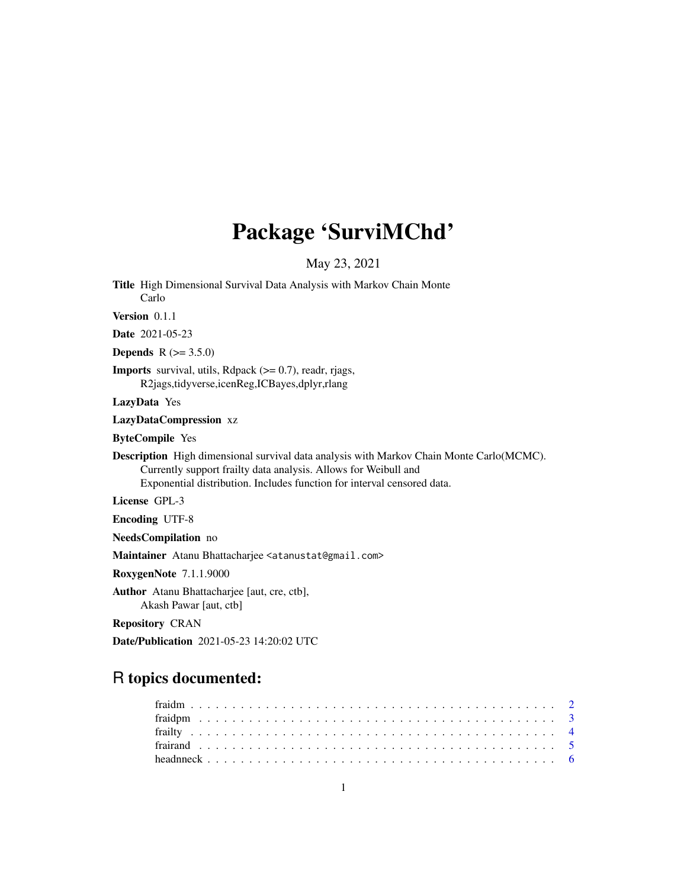# Package 'SurviMChd'

May 23, 2021

Title High Dimensional Survival Data Analysis with Markov Chain Monte Carlo

Version 0.1.1

Date 2021-05-23

**Depends** R  $(>= 3.5.0)$ 

**Imports** survival, utils, Rdpack  $(>= 0.7)$ , readr, rjags, R2jags,tidyverse,icenReg,ICBayes,dplyr,rlang

LazyData Yes

LazyDataCompression xz

ByteCompile Yes

Description High dimensional survival data analysis with Markov Chain Monte Carlo(MCMC). Currently support frailty data analysis. Allows for Weibull and Exponential distribution. Includes function for interval censored data.

License GPL-3

Encoding UTF-8

NeedsCompilation no

Maintainer Atanu Bhattacharjee <atanustat@gmail.com>

RoxygenNote 7.1.1.9000

Author Atanu Bhattacharjee [aut, cre, ctb], Akash Pawar [aut, ctb]

Repository CRAN

Date/Publication 2021-05-23 14:20:02 UTC

# R topics documented: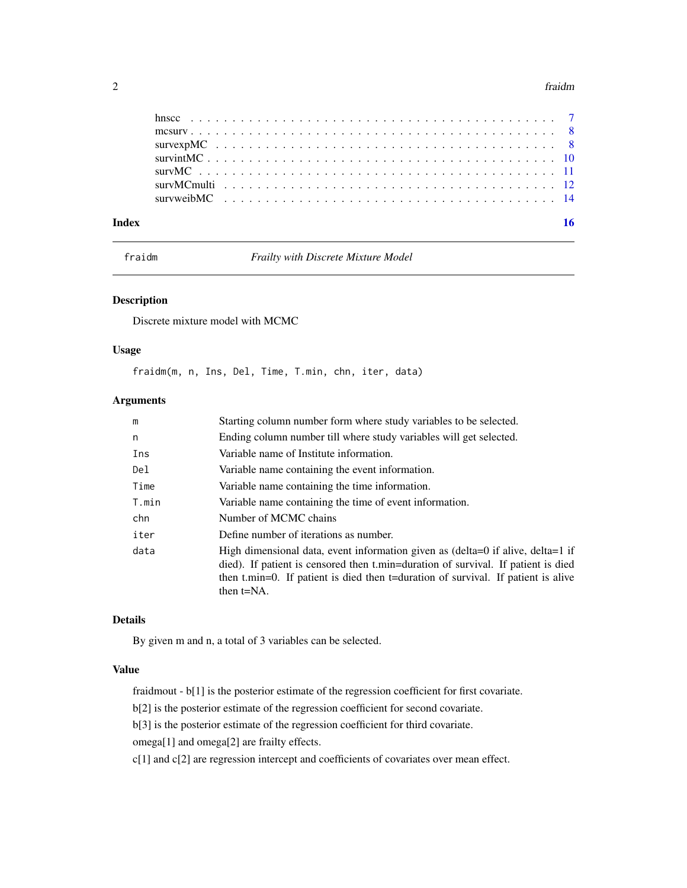#### <span id="page-1-0"></span> $2 \t\t \text{fraction}$

| Index |  | 16 |
|-------|--|----|
|       |  |    |
|       |  |    |
|       |  |    |
|       |  |    |
|       |  |    |
|       |  |    |

fraidm *Frailty with Discrete Mixture Model*

# Description

Discrete mixture model with MCMC

# Usage

fraidm(m, n, Ins, Del, Time, T.min, chn, iter, data)

# Arguments

| m     | Starting column number form where study variables to be selected.                                                                                                                                                                                                          |
|-------|----------------------------------------------------------------------------------------------------------------------------------------------------------------------------------------------------------------------------------------------------------------------------|
| n     | Ending column number till where study variables will get selected.                                                                                                                                                                                                         |
| Ins   | Variable name of Institute information.                                                                                                                                                                                                                                    |
| Del   | Variable name containing the event information.                                                                                                                                                                                                                            |
| Time  | Variable name containing the time information.                                                                                                                                                                                                                             |
| T.min | Variable name containing the time of event information.                                                                                                                                                                                                                    |
| chn   | Number of MCMC chains                                                                                                                                                                                                                                                      |
| iter  | Define number of iterations as number.                                                                                                                                                                                                                                     |
| data  | High dimensional data, event information given as (delta=0 if alive, delta=1 if<br>died). If patient is censored then t.min=duration of survival. If patient is died<br>then t.min=0. If patient is died then t=duration of survival. If patient is alive<br>then $t=NA$ . |

# Details

By given m and n, a total of 3 variables can be selected.

# Value

fraidmout - b[1] is the posterior estimate of the regression coefficient for first covariate.

b[2] is the posterior estimate of the regression coefficient for second covariate.

b[3] is the posterior estimate of the regression coefficient for third covariate.

omega[1] and omega[2] are frailty effects.

c[1] and c[2] are regression intercept and coefficients of covariates over mean effect.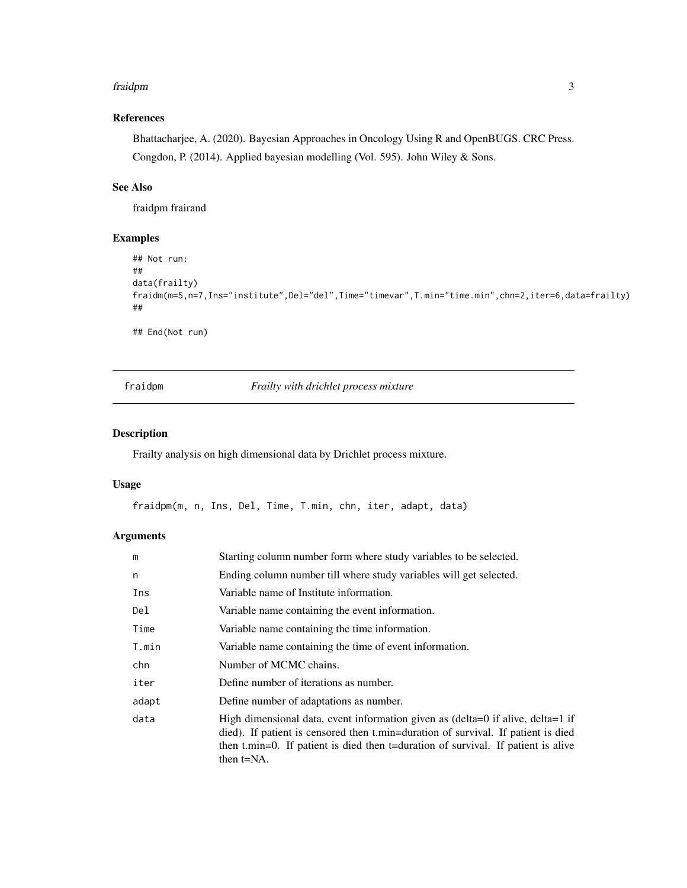#### <span id="page-2-0"></span>fraidpm 3

# References

Bhattacharjee, A. (2020). Bayesian Approaches in Oncology Using R and OpenBUGS. CRC Press. Congdon, P. (2014). Applied bayesian modelling (Vol. 595). John Wiley & Sons.

# See Also

fraidpm frairand

#### Examples

```
## Not run:
##
data(frailty)
fraidm(m=5,n=7,Ins="institute",Del="del",Time="timevar",T.min="time.min",chn=2,iter=6,data=frailty)
##
```
## End(Not run)

fraidpm *Frailty with drichlet process mixture*

# Description

Frailty analysis on high dimensional data by Drichlet process mixture.

#### Usage

fraidpm(m, n, Ins, Del, Time, T.min, chn, iter, adapt, data)

# Arguments

| m     | Starting column number form where study variables to be selected.                                                                                                                                                                                                          |
|-------|----------------------------------------------------------------------------------------------------------------------------------------------------------------------------------------------------------------------------------------------------------------------------|
| n     | Ending column number till where study variables will get selected.                                                                                                                                                                                                         |
| Ins   | Variable name of Institute information.                                                                                                                                                                                                                                    |
| Del   | Variable name containing the event information.                                                                                                                                                                                                                            |
| Time  | Variable name containing the time information.                                                                                                                                                                                                                             |
| T.min | Variable name containing the time of event information.                                                                                                                                                                                                                    |
| chn   | Number of MCMC chains.                                                                                                                                                                                                                                                     |
| iter  | Define number of iterations as number.                                                                                                                                                                                                                                     |
| adapt | Define number of adaptations as number.                                                                                                                                                                                                                                    |
| data  | High dimensional data, event information given as (delta=0 if alive, delta=1 if<br>died). If patient is censored then t.min=duration of survival. If patient is died<br>then t.min=0. If patient is died then t=duration of survival. If patient is alive<br>then $t=NA$ . |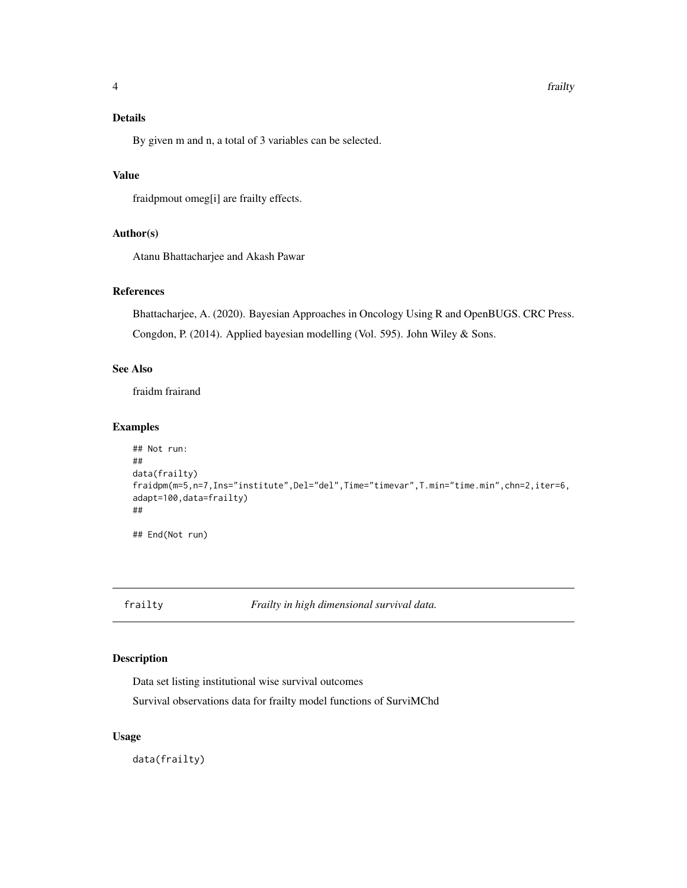# <span id="page-3-0"></span>Details

By given m and n, a total of 3 variables can be selected.

# Value

fraidpmout omeg[i] are frailty effects.

# Author(s)

Atanu Bhattacharjee and Akash Pawar

# References

Bhattacharjee, A. (2020). Bayesian Approaches in Oncology Using R and OpenBUGS. CRC Press. Congdon, P. (2014). Applied bayesian modelling (Vol. 595). John Wiley & Sons.

# See Also

fraidm frairand

# Examples

```
## Not run:
##
data(frailty)
fraidpm(m=5,n=7,Ins="institute",Del="del",Time="timevar",T.min="time.min",chn=2,iter=6,
adapt=100,data=frailty)
##
## End(Not run)
```
frailty *Frailty in high dimensional survival data.*

# Description

Data set listing institutional wise survival outcomes

Survival observations data for frailty model functions of SurviMChd

#### Usage

data(frailty)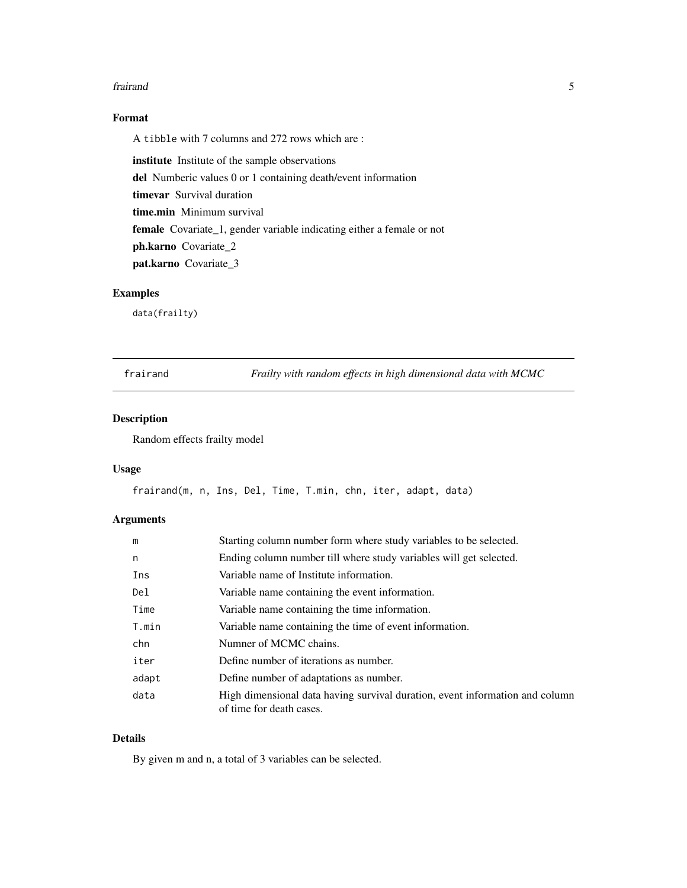#### <span id="page-4-0"></span>frairand 50 to 30 and 50 km s and 50 km s and 50 km s and 50 km s and 50 km s and 50 km s and 50 km s and 50 km s and 50 km s and 50 km s and 50 km s and 50 km s and 50 km s and 50 km s and 50 km s and 50 km s and 50 km s

# Format

A tibble with 7 columns and 272 rows which are :

institute Institute of the sample observations del Numberic values 0 or 1 containing death/event information timevar Survival duration time.min Minimum survival female Covariate\_1, gender variable indicating either a female or not ph.karno Covariate\_2 pat.karno Covariate\_3

# Examples

data(frailty)

frairand *Frailty with random effects in high dimensional data with MCMC*

# Description

Random effects frailty model

# Usage

frairand(m, n, Ins, Del, Time, T.min, chn, iter, adapt, data)

# Arguments

| m     | Starting column number form where study variables to be selected.                                        |
|-------|----------------------------------------------------------------------------------------------------------|
| n     | Ending column number till where study variables will get selected.                                       |
| Ins   | Variable name of Institute information.                                                                  |
| Del   | Variable name containing the event information.                                                          |
| Time  | Variable name containing the time information.                                                           |
| T.min | Variable name containing the time of event information.                                                  |
| chn   | Numner of MCMC chains.                                                                                   |
| iter  | Define number of iterations as number.                                                                   |
| adapt | Define number of adaptations as number.                                                                  |
| data  | High dimensional data having survival duration, event information and column<br>of time for death cases. |

# Details

By given m and n, a total of 3 variables can be selected.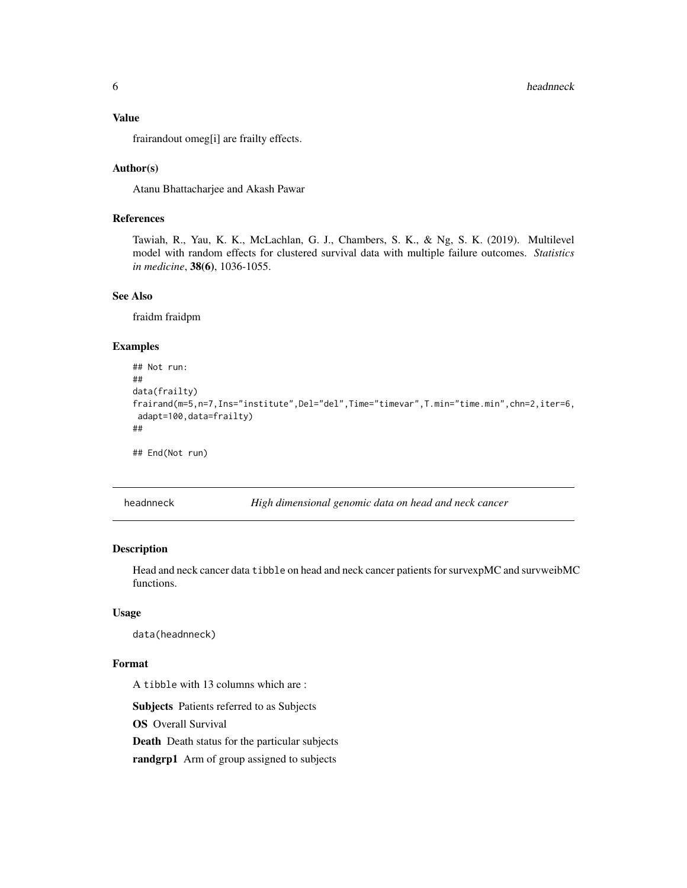#### <span id="page-5-0"></span>Value

frairandout omeg[i] are frailty effects.

#### Author(s)

Atanu Bhattacharjee and Akash Pawar

# References

Tawiah, R., Yau, K. K., McLachlan, G. J., Chambers, S. K., & Ng, S. K. (2019). Multilevel model with random effects for clustered survival data with multiple failure outcomes. *Statistics in medicine*, 38(6), 1036-1055.

# See Also

fraidm fraidpm

#### Examples

```
## Not run:
##
data(frailty)
frairand(m=5,n=7,Ins="institute",Del="del",Time="timevar",T.min="time.min",chn=2,iter=6,
adapt=100,data=frailty)
##
## End(Not run)
```
headnneck *High dimensional genomic data on head and neck cancer*

# **Description**

Head and neck cancer data tibble on head and neck cancer patients for survexpMC and survweibMC functions.

#### Usage

data(headnneck)

#### Format

A tibble with 13 columns which are :

Subjects Patients referred to as Subjects

OS Overall Survival

Death Death status for the particular subjects

randgrp1 Arm of group assigned to subjects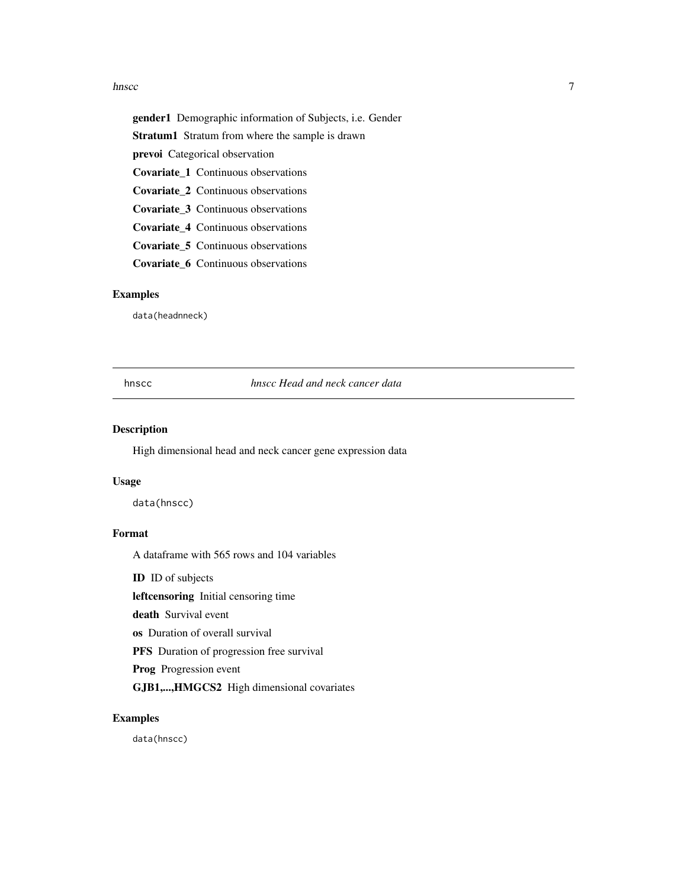#### <span id="page-6-0"></span>hnscc 7 and 7 and 7 and 7 and 7 and 7 and 7 and 7 and 7 and 7 and 7 and 7 and 7 and 7 and 7 and 7 and 7 and 7 and 7 and 7 and 7 and 7 and 7 and 7 and 7 and 7 and 7 and 7 and 7 and 7 and 7 and 7 and 7 and 7 and 7 and 7 and

gender1 Demographic information of Subjects, i.e. Gender Stratum1 Stratum from where the sample is drawn prevoi Categorical observation Covariate\_1 Continuous observations Covariate\_2 Continuous observations Covariate\_3 Continuous observations Covariate\_4 Continuous observations Covariate\_5 Continuous observations

Covariate\_6 Continuous observations

# Examples

data(headnneck)

hnscc *hnscc Head and neck cancer data*

#### Description

High dimensional head and neck cancer gene expression data

#### Usage

data(hnscc)

# Format

A dataframe with 565 rows and 104 variables

ID ID of subjects

leftcensoring Initial censoring time

death Survival event

os Duration of overall survival

PFS Duration of progression free survival

Prog Progression event

GJB1,...,HMGCS2 High dimensional covariates

#### Examples

data(hnscc)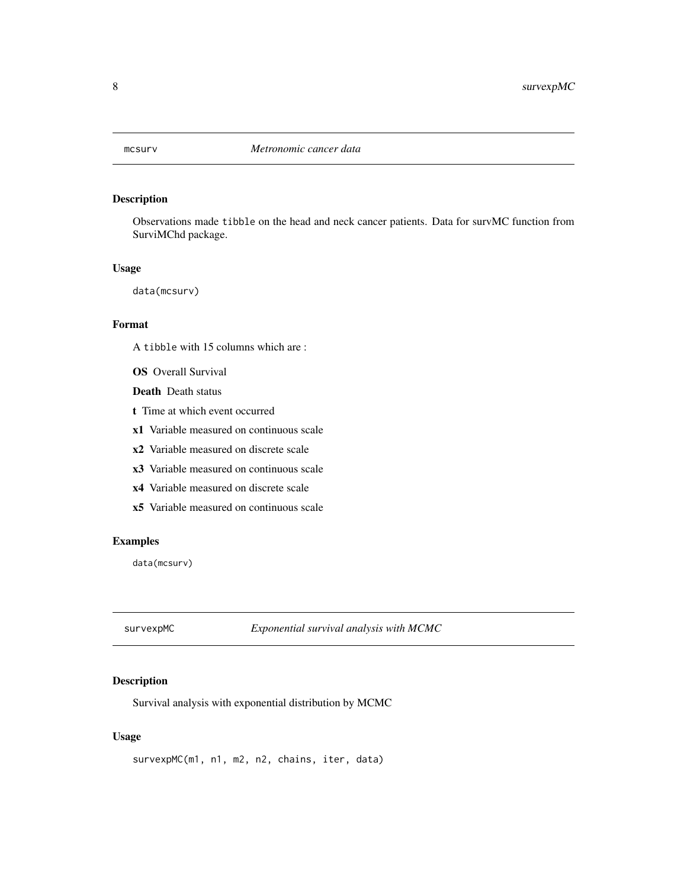<span id="page-7-0"></span>

# Description

Observations made tibble on the head and neck cancer patients. Data for survMC function from SurviMChd package.

#### Usage

data(mcsurv)

# Format

A tibble with 15 columns which are :

OS Overall Survival

Death Death status

- t Time at which event occurred
- x1 Variable measured on continuous scale
- x2 Variable measured on discrete scale
- x3 Variable measured on continuous scale
- x4 Variable measured on discrete scale
- x5 Variable measured on continuous scale

#### Examples

data(mcsurv)

survexpMC *Exponential survival analysis with MCMC*

#### Description

Survival analysis with exponential distribution by MCMC

#### Usage

survexpMC(m1, n1, m2, n2, chains, iter, data)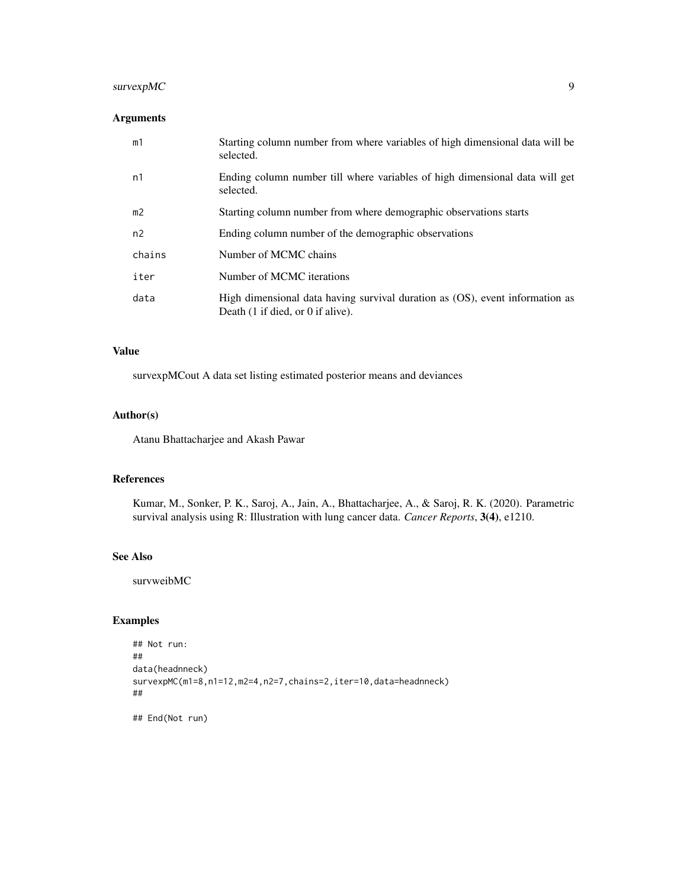# survexpMC 9

# Arguments

| m1     | Starting column number from where variables of high dimensional data will be<br>selected.                                            |
|--------|--------------------------------------------------------------------------------------------------------------------------------------|
| n1     | Ending column number till where variables of high dimensional data will get<br>selected.                                             |
| m2     | Starting column number from where demographic observations starts                                                                    |
| n2     | Ending column number of the demographic observations                                                                                 |
| chains | Number of MCMC chains                                                                                                                |
| iter   | Number of MCMC iterations                                                                                                            |
| data   | High dimensional data having survival duration as (OS), event information as<br>Death $(1 \text{ if died, or } 0 \text{ if alive}).$ |

# Value

survexpMCout A data set listing estimated posterior means and deviances

#### Author(s)

Atanu Bhattacharjee and Akash Pawar

# References

Kumar, M., Sonker, P. K., Saroj, A., Jain, A., Bhattacharjee, A., & Saroj, R. K. (2020). Parametric survival analysis using R: Illustration with lung cancer data. *Cancer Reports*, 3(4), e1210.

#### See Also

survweibMC

# Examples

```
## Not run:
##
data(headnneck)
survexpMC(m1=8,n1=12,m2=4,n2=7,chains=2,iter=10,data=headnneck)
##
## End(Not run)
```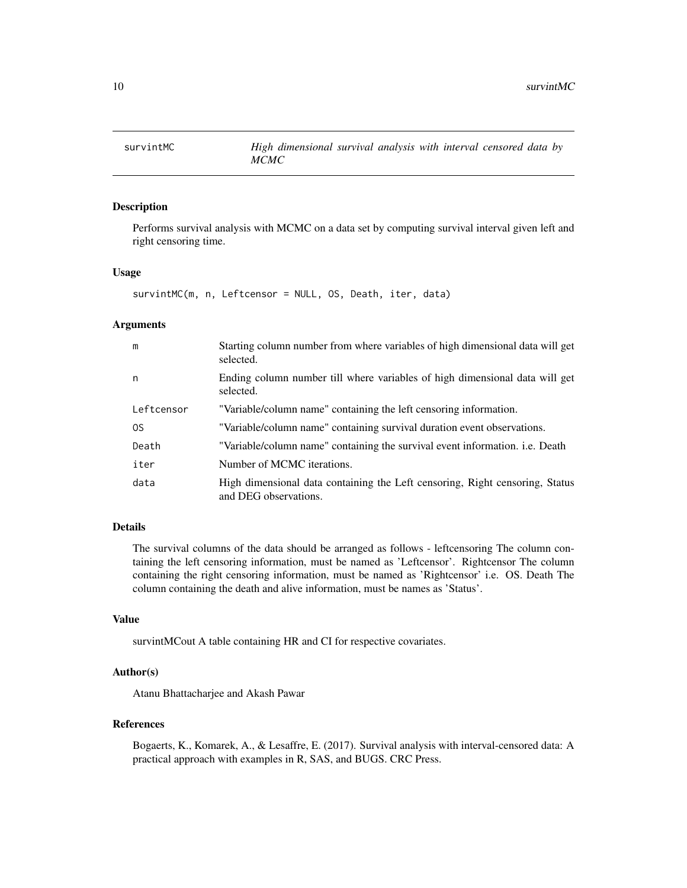<span id="page-9-0"></span>

#### Description

Performs survival analysis with MCMC on a data set by computing survival interval given left and right censoring time.

#### Usage

```
survintMC(m, n, Leftcensor = NULL, OS, Death, iter, data)
```
#### **Arguments**

| m          | Starting column number from where variables of high dimensional data will get<br>selected.            |
|------------|-------------------------------------------------------------------------------------------------------|
| n          | Ending column number till where variables of high dimensional data will get<br>selected.              |
| Leftcensor | "Variable/column name" containing the left censoring information.                                     |
| 0S         | "Variable/column name" containing survival duration event observations.                               |
| Death      | "Variable/column name" containing the survival event information. <i>i.e.</i> Death                   |
| iter       | Number of MCMC iterations.                                                                            |
| data       | High dimensional data containing the Left censoring, Right censoring, Status<br>and DEG observations. |

#### Details

The survival columns of the data should be arranged as follows - leftcensoring The column containing the left censoring information, must be named as 'Leftcensor'. Rightcensor The column containing the right censoring information, must be named as 'Rightcensor' i.e. OS. Death The column containing the death and alive information, must be names as 'Status'.

# Value

survintMCout A table containing HR and CI for respective covariates.

# Author(s)

Atanu Bhattacharjee and Akash Pawar

#### References

Bogaerts, K., Komarek, A., & Lesaffre, E. (2017). Survival analysis with interval-censored data: A practical approach with examples in R, SAS, and BUGS. CRC Press.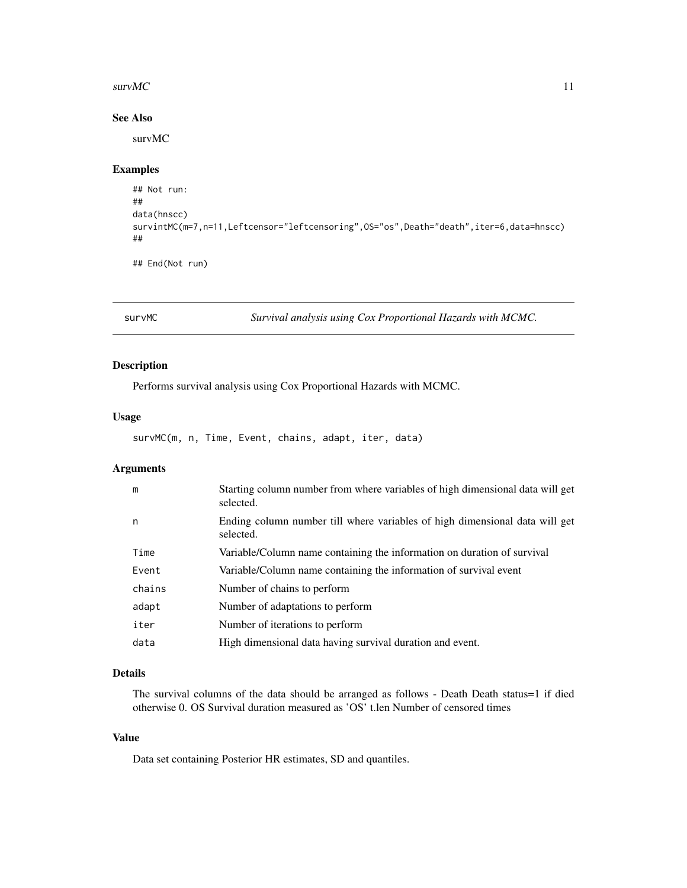#### <span id="page-10-0"></span> $surrMC$  11

# See Also

survMC

# Examples

```
## Not run:
##
data(hnscc)
survintMC(m=7,n=11,Leftcensor="leftcensoring",OS="os",Death="death",iter=6,data=hnscc)
##
```
## End(Not run)

survMC *Survival analysis using Cox Proportional Hazards with MCMC.*

# Description

Performs survival analysis using Cox Proportional Hazards with MCMC.

#### Usage

survMC(m, n, Time, Event, chains, adapt, iter, data)

# Arguments

| m      | Starting column number from where variables of high dimensional data will get<br>selected. |
|--------|--------------------------------------------------------------------------------------------|
| n      | Ending column number till where variables of high dimensional data will get<br>selected.   |
| Time   | Variable/Column name containing the information on duration of survival                    |
| Event  | Variable/Column name containing the information of survival event                          |
| chains | Number of chains to perform                                                                |
| adapt  | Number of adaptations to perform                                                           |
| iter   | Number of iterations to perform                                                            |
| data   | High dimensional data having survival duration and event.                                  |

# Details

The survival columns of the data should be arranged as follows - Death Death status=1 if died otherwise 0. OS Survival duration measured as 'OS' t.len Number of censored times

# Value

Data set containing Posterior HR estimates, SD and quantiles.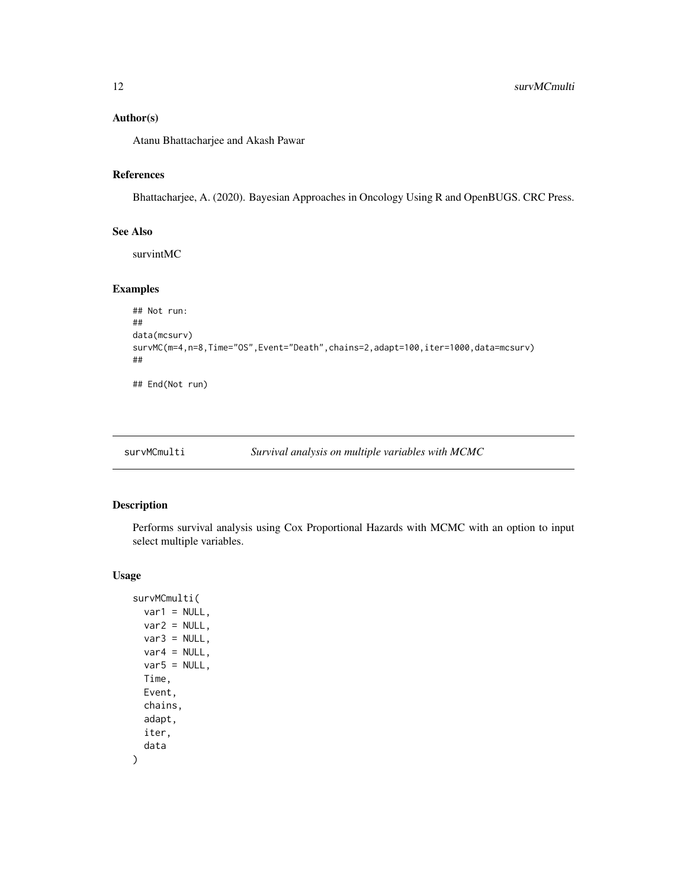# <span id="page-11-0"></span>Author(s)

Atanu Bhattacharjee and Akash Pawar

# References

Bhattacharjee, A. (2020). Bayesian Approaches in Oncology Using R and OpenBUGS. CRC Press.

# See Also

survintMC

# Examples

```
## Not run:
##
data(mcsurv)
survMC(m=4,n=8,Time="OS",Event="Death",chains=2,adapt=100,iter=1000,data=mcsurv)
##
## End(Not run)
```
# Description

Performs survival analysis using Cox Proportional Hazards with MCMC with an option to input select multiple variables.

# Usage

```
survMCmulti(
 var1 = NULL,var2 = NULL,var3 = NULL,var4 = NULL,var5 = NULL,Time,
 Event,
 chains,
 adapt,
 iter,
  data
)
```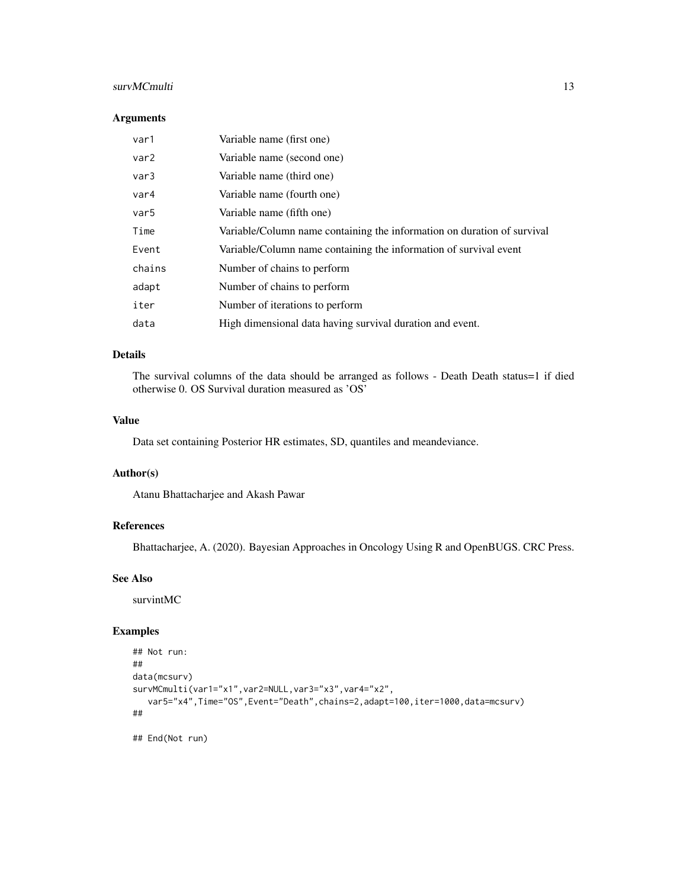#### survMCmulti 13

# Arguments

| var1   | Variable name (first one)                                               |
|--------|-------------------------------------------------------------------------|
| var2   | Variable name (second one)                                              |
| var3   | Variable name (third one)                                               |
| var4   | Variable name (fourth one)                                              |
| var5   | Variable name (fifth one)                                               |
| Time   | Variable/Column name containing the information on duration of survival |
| Event  | Variable/Column name containing the information of survival event       |
| chains | Number of chains to perform                                             |
| adapt  | Number of chains to perform                                             |
| iter   | Number of iterations to perform                                         |
| data   | High dimensional data having survival duration and event.               |

# Details

The survival columns of the data should be arranged as follows - Death Death status=1 if died otherwise 0. OS Survival duration measured as 'OS'

# Value

Data set containing Posterior HR estimates, SD, quantiles and meandeviance.

## Author(s)

Atanu Bhattacharjee and Akash Pawar

#### References

Bhattacharjee, A. (2020). Bayesian Approaches in Oncology Using R and OpenBUGS. CRC Press.

#### See Also

survintMC

#### Examples

```
## Not run:
##
data(mcsurv)
survMCmulti(var1="x1",var2=NULL,var3="x3",var4="x2",
   var5="x4",Time="OS",Event="Death",chains=2,adapt=100,iter=1000,data=mcsurv)
##
```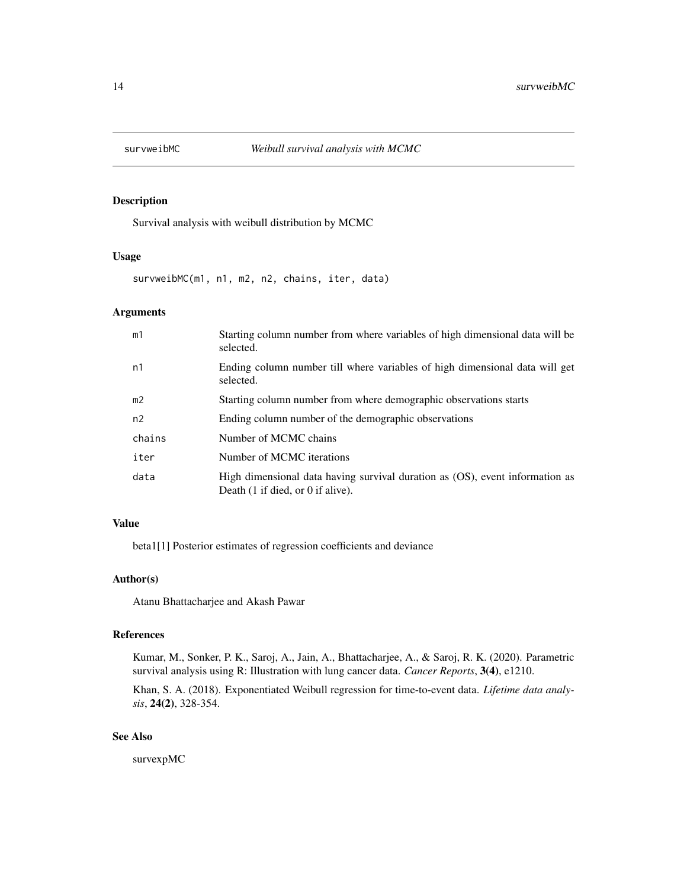<span id="page-13-0"></span>

# Description

Survival analysis with weibull distribution by MCMC

#### Usage

survweibMC(m1, n1, m2, n2, chains, iter, data)

#### Arguments

| m1             | Starting column number from where variables of high dimensional data will be<br>selected.                                            |
|----------------|--------------------------------------------------------------------------------------------------------------------------------------|
| n1             | Ending column number till where variables of high dimensional data will get<br>selected.                                             |
| m <sub>2</sub> | Starting column number from where demographic observations starts                                                                    |
| n2             | Ending column number of the demographic observations                                                                                 |
| chains         | Number of MCMC chains                                                                                                                |
| iter           | Number of MCMC iterations                                                                                                            |
| data           | High dimensional data having survival duration as (OS), event information as<br>Death $(1 \text{ if died, or } 0 \text{ if alive}).$ |

# Value

beta1[1] Posterior estimates of regression coefficients and deviance

# Author(s)

Atanu Bhattacharjee and Akash Pawar

# References

Kumar, M., Sonker, P. K., Saroj, A., Jain, A., Bhattacharjee, A., & Saroj, R. K. (2020). Parametric survival analysis using R: Illustration with lung cancer data. *Cancer Reports*, 3(4), e1210.

Khan, S. A. (2018). Exponentiated Weibull regression for time-to-event data. *Lifetime data analysis*, 24(2), 328-354.

#### See Also

survexpMC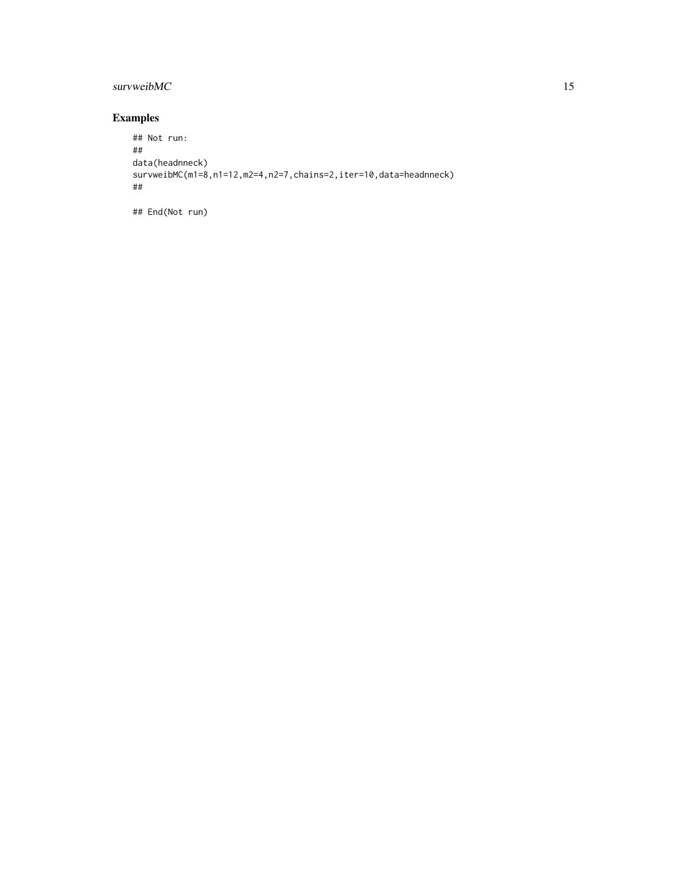# survweibMC 15

# Examples

```
## Not run:
##
data(headnneck)
survweibMC(m1=8,n1=12,m2=4,n2=7,chains=2,iter=10,data=headnneck)
##
```
## End(Not run)